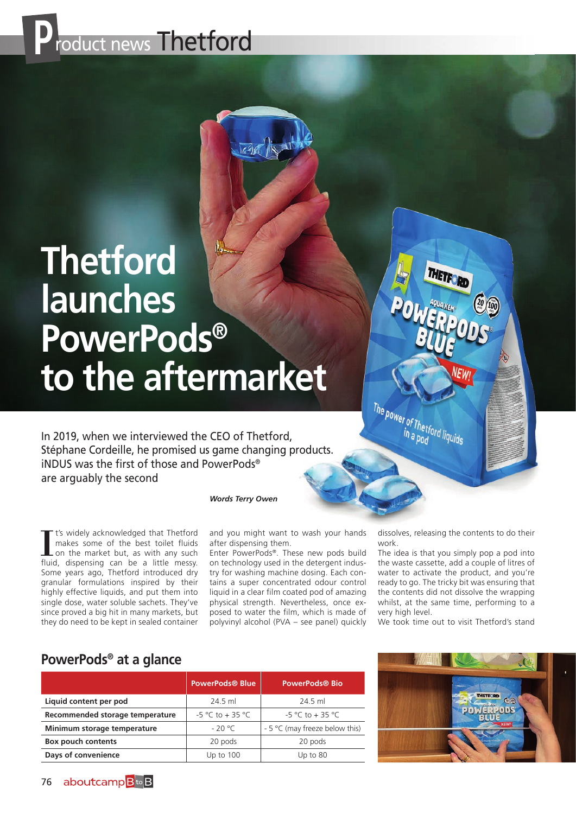

## **Thetford launches PowerPods® to the aftermarket**

In 2019, when we interviewed the CEO of Thetford, Stéphane Cordeille, he promised us game changing products. iNDUS was the first of those and PowerPods® are arguably the second

*Words Terry Owen*

It's widely acknowledged that Thetford<br>makes some of the best toilet fluids<br>on the market but, as with any such<br>fluid, dispensing can be a little messy. t's widely acknowledged that Thetford makes some of the best toilet fluids on the market but, as with any such Some years ago, Thetford introduced dry granular formulations inspired by their highly effective liquids, and put them into single dose, water soluble sachets. They've since proved a big hit in many markets, but they do need to be kept in sealed container

and you might want to wash your hands after dispensing them.

Enter PowerPods®. These new pods build on technology used in the detergent industry for washing machine dosing. Each contains a super concentrated odour control liquid in a clear film coated pod of amazing physical strength. Nevertheless, once exposed to water the film, which is made of polyvinyl alcohol (PVA – see panel) quickly dissolves, releasing the contents to do their work.

THETE

The power of Thetford liquids

The idea is that you simply pop a pod into the waste cassette, add a couple of litres of water to activate the product, and you're ready to go. The tricky bit was ensuring that the contents did not dissolve the wrapping whilst, at the same time, performing to a very high level.

We took time out to visit Thetford's stand

## **PowerPods® at a glance**

|                                 | <b>PowerPods® Blue</b> | <b>PowerPods® Bio</b>          |
|---------------------------------|------------------------|--------------------------------|
| Liquid content per pod          | 24.5 ml                | 24.5 ml                        |
| Recommended storage temperature | $-5$ °C to + 35 °C     | $-5$ °C to + 35 °C             |
| Minimum storage temperature     | $-20 °C$               | - 5 °C (may freeze below this) |
| <b>Box pouch contents</b>       | 20 pods                | 20 pods                        |
| Days of convenience             | Up to $100$            | Up to $80$                     |